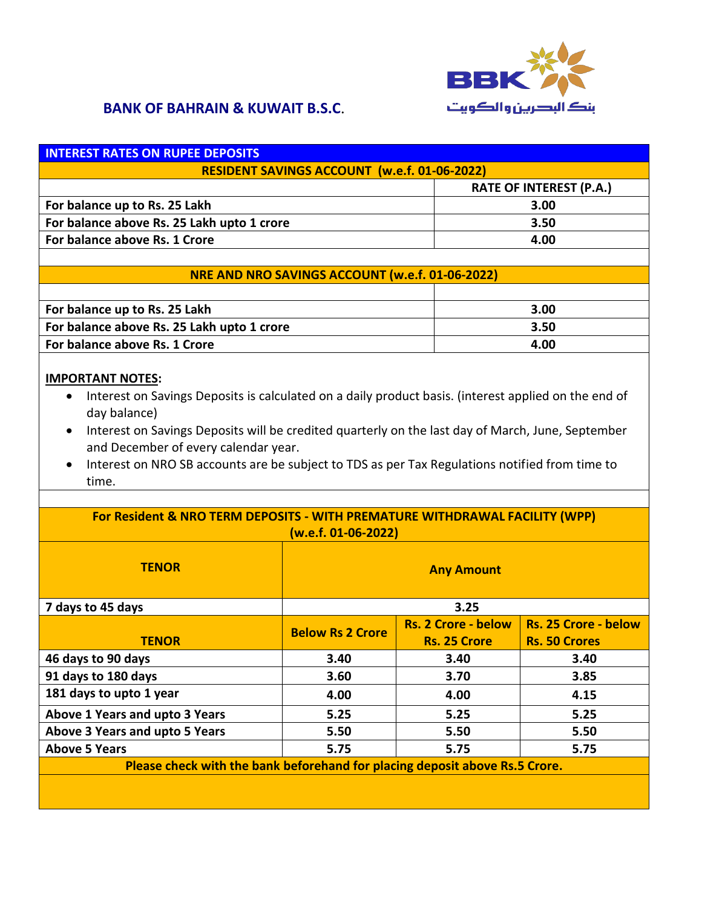

| <b>INTEREST RATES ON RUPEE DEPOSITS</b>             |                                |
|-----------------------------------------------------|--------------------------------|
| <b>RESIDENT SAVINGS ACCOUNT (w.e.f. 01-06-2022)</b> |                                |
|                                                     | <b>RATE OF INTEREST (P.A.)</b> |
| For balance up to Rs. 25 Lakh                       | 3.00                           |
| For balance above Rs. 25 Lakh upto 1 crore          | 3.50                           |
| For balance above Rs. 1 Crore                       | 4.00                           |
|                                                     |                                |
| NRE AND NRO SAVINGS ACCOUNT (w.e.f. 01-06-2022)     |                                |
|                                                     |                                |
|                                                     | - --                           |

| For balance up to Rs. 25 Lakh              | 3.00 |
|--------------------------------------------|------|
| For balance above Rs. 25 Lakh upto 1 crore | 3.50 |
| For balance above Rs. 1 Crore              | 4.00 |

#### **IMPORTANT NOTES:**

- Interest on Savings Deposits is calculated on a daily product basis. (interest applied on the end of day balance)
- Interest on Savings Deposits will be credited quarterly on the last day of March, June, September and December of every calendar year.
- Interest on NRO SB accounts are be subject to TDS as per Tax Regulations notified from time to time.

| For Resident & NRO TERM DEPOSITS - WITH PREMATURE WITHDRAWAL FACILITY (WPP)<br>(w.e.f. 01-06-2022) |                         |                            |                             |
|----------------------------------------------------------------------------------------------------|-------------------------|----------------------------|-----------------------------|
| <b>TENOR</b>                                                                                       | <b>Any Amount</b>       |                            |                             |
| 7 days to 45 days                                                                                  | 3.25                    |                            |                             |
|                                                                                                    | <b>Below Rs 2 Crore</b> | <b>Rs. 2 Crore - below</b> | <b>Rs. 25 Crore - below</b> |
| <b>TENOR</b>                                                                                       |                         | <b>Rs. 25 Crore</b>        | <b>Rs. 50 Crores</b>        |
| 46 days to 90 days                                                                                 | 3.40                    | 3.40                       | 3.40                        |
| 91 days to 180 days                                                                                | 3.60                    | 3.70                       | 3.85                        |
| 181 days to upto 1 year                                                                            | 4.00                    | 4.00                       | 4.15                        |
| Above 1 Years and upto 3 Years                                                                     | 5.25                    | 5.25                       | 5.25                        |
| Above 3 Years and upto 5 Years                                                                     | 5.50                    | 5.50                       | 5.50                        |
| <b>Above 5 Years</b>                                                                               | 5.75<br>5.75<br>5.75    |                            |                             |
| Please check with the bank beforehand for placing deposit above Rs.5 Crore.                        |                         |                            |                             |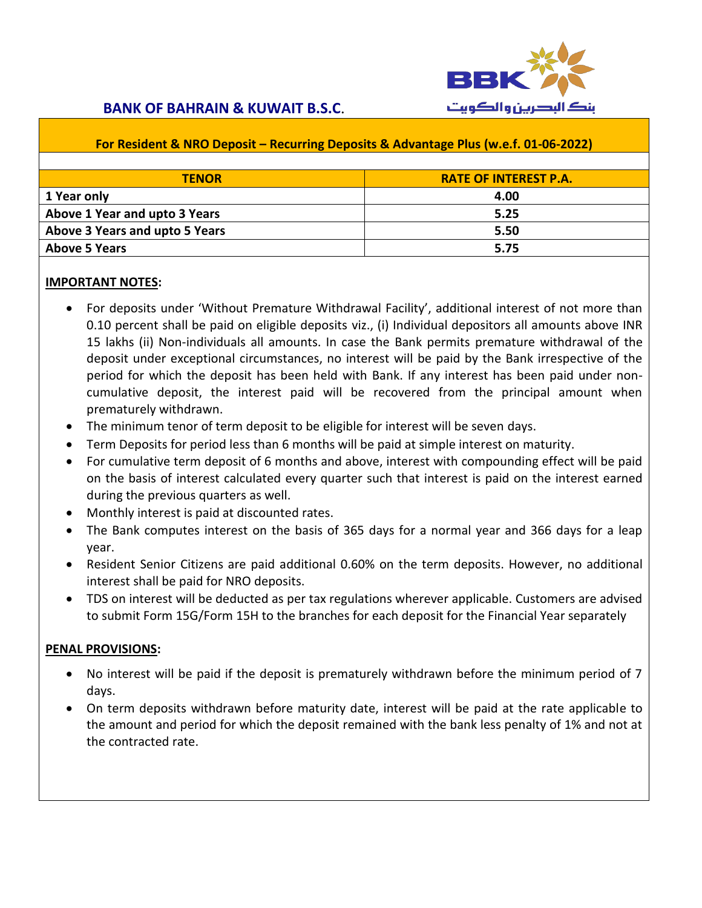

#### **For Resident & NRO Deposit – Recurring Deposits & Advantage Plus (w.e.f. 01-06-2022)**

| <b>TENOR</b>                   | <b>RATE OF INTEREST P.A.</b> |
|--------------------------------|------------------------------|
| 1 Year only                    | 4.00                         |
| Above 1 Year and upto 3 Years  | 5.25                         |
| Above 3 Years and upto 5 Years | 5.50                         |
| <b>Above 5 Years</b>           | 5.75                         |

#### **IMPORTANT NOTES:**

- For deposits under 'Without Premature Withdrawal Facility', additional interest of not more than 0.10 percent shall be paid on eligible deposits viz., (i) Individual depositors all amounts above INR 15 lakhs (ii) Non-individuals all amounts. In case the Bank permits premature withdrawal of the deposit under exceptional circumstances, no interest will be paid by the Bank irrespective of the period for which the deposit has been held with Bank. If any interest has been paid under noncumulative deposit, the interest paid will be recovered from the principal amount when prematurely withdrawn.
- The minimum tenor of term deposit to be eligible for interest will be seven days.
- Term Deposits for period less than 6 months will be paid at simple interest on maturity.
- For cumulative term deposit of 6 months and above, interest with compounding effect will be paid on the basis of interest calculated every quarter such that interest is paid on the interest earned during the previous quarters as well.
- Monthly interest is paid at discounted rates.
- The Bank computes interest on the basis of 365 days for a normal year and 366 days for a leap year.
- Resident Senior Citizens are paid additional 0.60% on the term deposits. However, no additional interest shall be paid for NRO deposits.
- TDS on interest will be deducted as per tax regulations wherever applicable. Customers are advised to submit Form 15G/Form 15H to the branches for each deposit for the Financial Year separately

#### **PENAL PROVISIONS:**

- No interest will be paid if the deposit is prematurely withdrawn before the minimum period of 7 days.
- On term deposits withdrawn before maturity date, interest will be paid at the rate applicable to the amount and period for which the deposit remained with the bank less penalty of 1% and not at the contracted rate.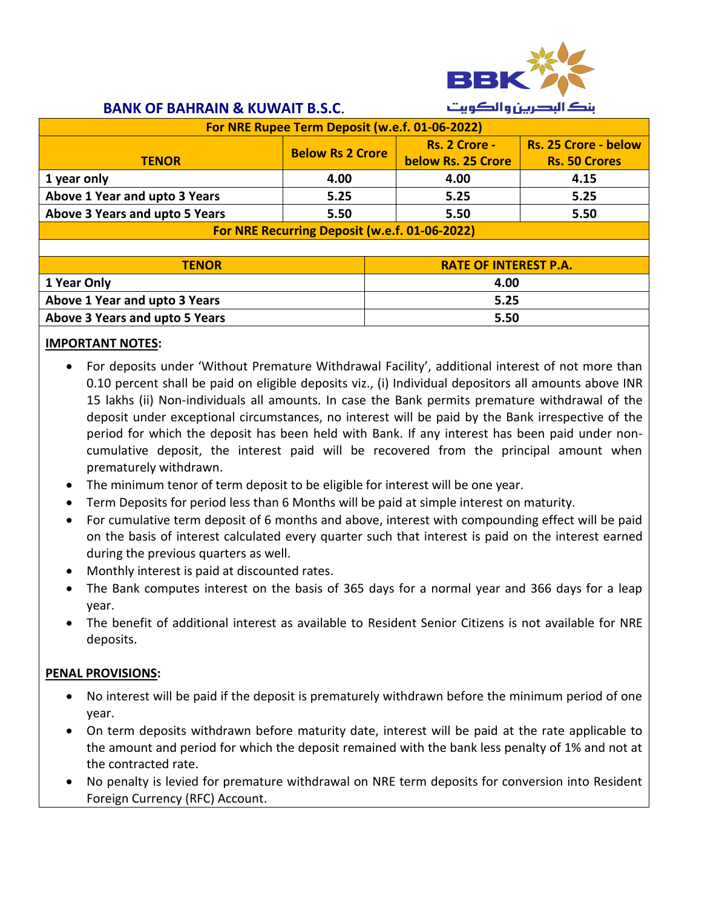

| For NRE Rupee Term Deposit (w.e.f. 01-06-2022)         |                         |                                     |                                                     |
|--------------------------------------------------------|-------------------------|-------------------------------------|-----------------------------------------------------|
| <b>TENOR</b>                                           | <b>Below Rs 2 Crore</b> | Rs. 2 Crore -<br>below Rs. 25 Crore | <b>Rs. 25 Crore - below</b><br><b>Rs. 50 Crores</b> |
| 1 year only                                            | 4.00                    | 4.00                                | 4.15                                                |
| Above 1 Year and upto 3 Years<br>5.25<br>5.25<br>5.25  |                         |                                     |                                                     |
| Above 3 Years and upto 5 Years<br>5.50<br>5.50<br>5.50 |                         |                                     |                                                     |
| For NRE Recurring Deposit (w.e.f. 01-06-2022)          |                         |                                     |                                                     |

| <b>TFNOR</b>                          | <b>RATE OF INTEREST P.A.</b> |
|---------------------------------------|------------------------------|
| 1 Year Only                           | 4.00                         |
| Above 1 Year and upto 3 Years         | 5.25                         |
| <b>Above 3 Years and upto 5 Years</b> | 5.50                         |

#### **IMPORTANT NOTES:**

- For deposits under 'Without Premature Withdrawal Facility', additional interest of not more than 0.10 percent shall be paid on eligible deposits viz., (i) Individual depositors all amounts above INR 15 lakhs (ii) Non-individuals all amounts. In case the Bank permits premature withdrawal of the deposit under exceptional circumstances, no interest will be paid by the Bank irrespective of the period for which the deposit has been held with Bank. If any interest has been paid under noncumulative deposit, the interest paid will be recovered from the principal amount when prematurely withdrawn.
- The minimum tenor of term deposit to be eligible for interest will be one year.
- Term Deposits for period less than 6 Months will be paid at simple interest on maturity.
- For cumulative term deposit of 6 months and above, interest with compounding effect will be paid on the basis of interest calculated every quarter such that interest is paid on the interest earned during the previous quarters as well.
- Monthly interest is paid at discounted rates.
- The Bank computes interest on the basis of 365 days for a normal year and 366 days for a leap year.
- The benefit of additional interest as available to Resident Senior Citizens is not available for NRE deposits.

#### **PENAL PROVISIONS:**

- No interest will be paid if the deposit is prematurely withdrawn before the minimum period of one year.
- On term deposits withdrawn before maturity date, interest will be paid at the rate applicable to the amount and period for which the deposit remained with the bank less penalty of 1% and not at the contracted rate.
- No penalty is levied for premature withdrawal on NRE term deposits for conversion into Resident Foreign Currency (RFC) Account.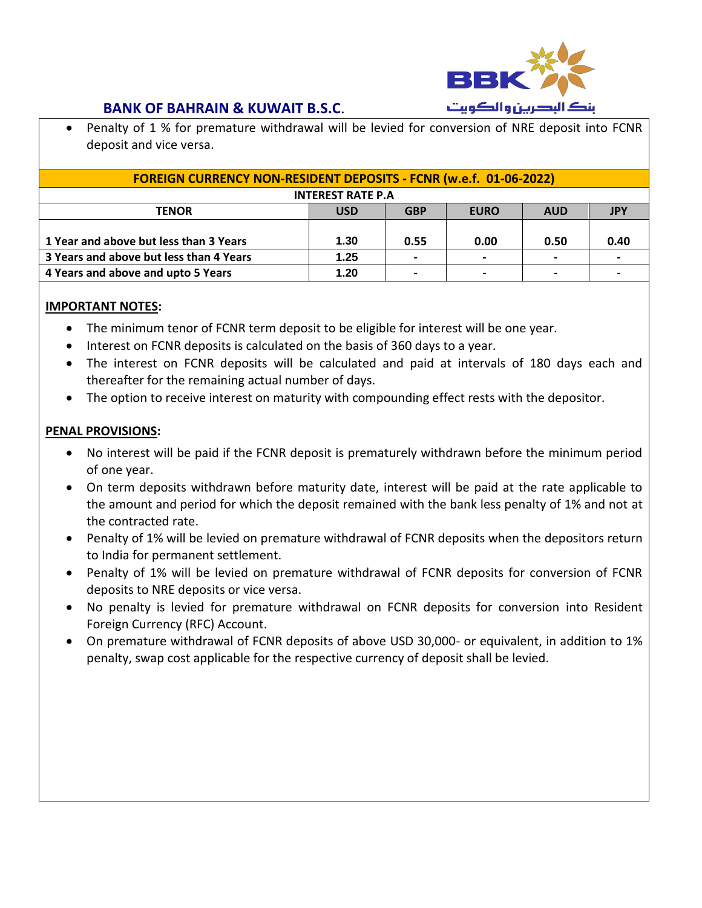

 Penalty of 1 % for premature withdrawal will be levied for conversion of NRE deposit into FCNR deposit and vice versa.

| <b>FOREIGN CURRENCY NON-RESIDENT DEPOSITS - FCNR (w.e.f. 01-06-2022)</b> |            |            |                |                          |            |
|--------------------------------------------------------------------------|------------|------------|----------------|--------------------------|------------|
| <b>INTEREST RATE P.A</b>                                                 |            |            |                |                          |            |
| <b>TENOR</b>                                                             | <b>USD</b> | <b>GBP</b> | <b>EURO</b>    | <b>AUD</b>               | <b>JPY</b> |
|                                                                          |            |            |                |                          |            |
| 1 Year and above but less than 3 Years                                   | 1.30       | 0.55       | 0.00           | 0.50                     | 0.40       |
| 3 Years and above but less than 4 Years                                  | 1.25       |            | $\blacksquare$ | $\overline{\phantom{0}}$ |            |
| 4 Years and above and upto 5 Years                                       | 1.20       |            | $\blacksquare$ |                          |            |

### **IMPORTANT NOTES:**

- The minimum tenor of FCNR term deposit to be eligible for interest will be one year.
- Interest on FCNR deposits is calculated on the basis of 360 days to a year.
- The interest on FCNR deposits will be calculated and paid at intervals of 180 days each and thereafter for the remaining actual number of days.
- The option to receive interest on maturity with compounding effect rests with the depositor.

#### **PENAL PROVISIONS:**

- No interest will be paid if the FCNR deposit is prematurely withdrawn before the minimum period of one year.
- On term deposits withdrawn before maturity date, interest will be paid at the rate applicable to the amount and period for which the deposit remained with the bank less penalty of 1% and not at the contracted rate.
- Penalty of 1% will be levied on premature withdrawal of FCNR deposits when the depositors return to India for permanent settlement.
- Penalty of 1% will be levied on premature withdrawal of FCNR deposits for conversion of FCNR deposits to NRE deposits or vice versa.
- No penalty is levied for premature withdrawal on FCNR deposits for conversion into Resident Foreign Currency (RFC) Account.
- On premature withdrawal of FCNR deposits of above USD 30,000- or equivalent, in addition to 1% penalty, swap cost applicable for the respective currency of deposit shall be levied.